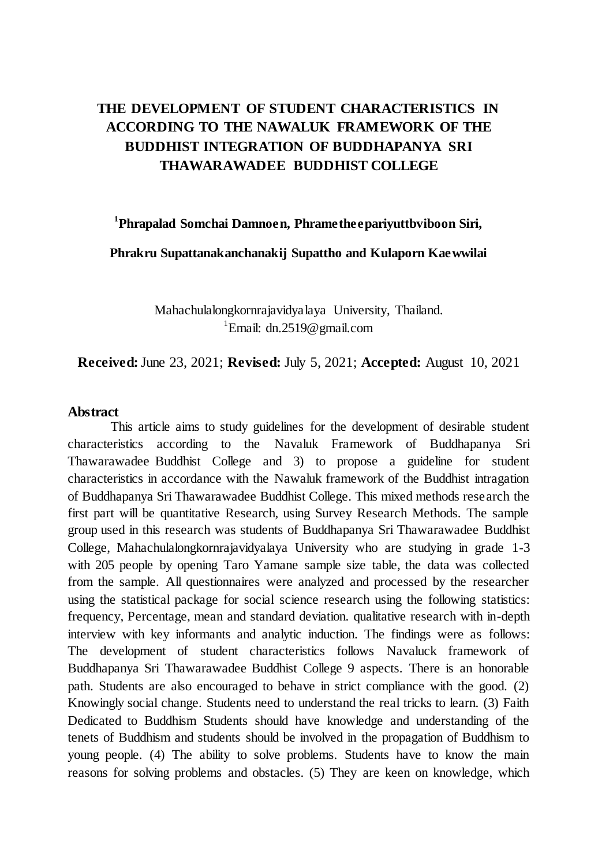# **THE DEVELOPMENT OF STUDENT CHARACTERISTICS IN ACCORDING TO THE NAWALUK FRAMEWORK OF THE BUDDHIST INTEGRATION OF BUDDHAPANYA SRI THAWARAWADEE BUDDHIST COLLEGE**

**1 Phrapalad Somchai Damnoen, Phrametheepariyuttbviboon Siri,** 

**Phrakru Supattanakanchanakij Supattho and Kulaporn Kaewwilai**

Mahachulalongkornrajavidyalaya University, Thailand. <sup>1</sup>Email: dn.2519@gmail.com

**Received:**June 23, 2021; **Revised:** July 5, 2021; **Accepted:** August 10, 2021

#### **Abstract**

This article aims to study guidelines for the development of desirable student characteristics according to the Navaluk Framework of Buddhapanya Sri Thawarawadee Buddhist College and 3) to propose a guideline for student characteristics in accordance with the Nawaluk framework of the Buddhist intragation of Buddhapanya Sri Thawarawadee Buddhist College. This mixed methods research the first part will be quantitative Research, using Survey Research Methods. The sample group used in this research was students of Buddhapanya Sri Thawarawadee Buddhist College, Mahachulalongkornrajavidyalaya University who are studying in grade 1-3 with 205 people by opening Taro Yamane sample size table, the data was collected from the sample. All questionnaires were analyzed and processed by the researcher using the statistical package for social science research using the following statistics: frequency, Percentage, mean and standard deviation. qualitative research with in-depth interview with key informants and analytic induction. The findings were as follows: The development of student characteristics follows Navaluck framework of Buddhapanya Sri Thawarawadee Buddhist College 9 aspects. There is an honorable path. Students are also encouraged to behave in strict compliance with the good. (2) Knowingly social change. Students need to understand the real tricks to learn. (3) Faith Dedicated to Buddhism Students should have knowledge and understanding of the tenets of Buddhism and students should be involved in the propagation of Buddhism to young people. (4) The ability to solve problems. Students have to know the main reasons for solving problems and obstacles. (5) They are keen on knowledge, which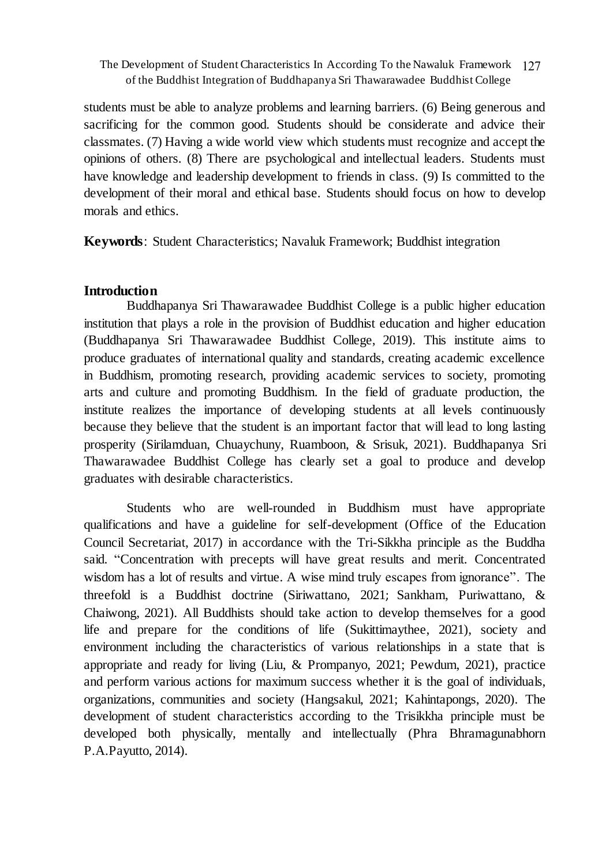students must be able to analyze problems and learning barriers. (6) Being generous and sacrificing for the common good. Students should be considerate and advice their classmates. (7) Having a wide world view which students must recognize and accept the opinions of others. (8) There are psychological and intellectual leaders. Students must have knowledge and leadership development to friends in class. (9) Is committed to the development of their moral and ethical base. Students should focus on how to develop morals and ethics.

**Keywords**: Student Characteristics; Navaluk Framework; Buddhist integration

# **Introduction**

Buddhapanya Sri Thawarawadee Buddhist College is a public higher education institution that plays a role in the provision of Buddhist education and higher education (Buddhapanya Sri Thawarawadee Buddhist College, 2019). This institute aims to produce graduates of international quality and standards, creating academic excellence in Buddhism, promoting research, providing academic services to society, promoting arts and culture and promoting Buddhism. In the field of graduate production, the institute realizes the importance of developing students at all levels continuously because they believe that the student is an important factor that will lead to long lasting prosperity (Sirilamduan, Chuaychuny, Ruamboon, & Srisuk, 2021). Buddhapanya Sri Thawarawadee Buddhist College has clearly set a goal to produce and develop graduates with desirable characteristics.

Students who are well-rounded in Buddhism must have appropriate qualifications and have a guideline for self-development (Office of the Education Council Secretariat, 2017) in accordance with the Tri-Sikkha principle as the Buddha said. "Concentration with precepts will have great results and merit. Concentrated wisdom has a lot of results and virtue. A wise mind truly escapes from ignorance". The threefold is a Buddhist doctrine (Siriwattano, 2021; Sankham, Puriwattano, & Chaiwong, 2021). All Buddhists should take action to develop themselves for a good life and prepare for the conditions of life (Sukittimaythee, 2021), society and environment including the characteristics of various relationships in a state that is appropriate and ready for living (Liu, & Prompanyo, 2021; Pewdum, 2021), practice and perform various actions for maximum success whether it is the goal of individuals, organizations, communities and society (Hangsakul, 2021; Kahintapongs, 2020). The development of student characteristics according to the Trisikkha principle must be developed both physically, mentally and intellectually (Phra Bhramagunabhorn P.A.Payutto, 2014).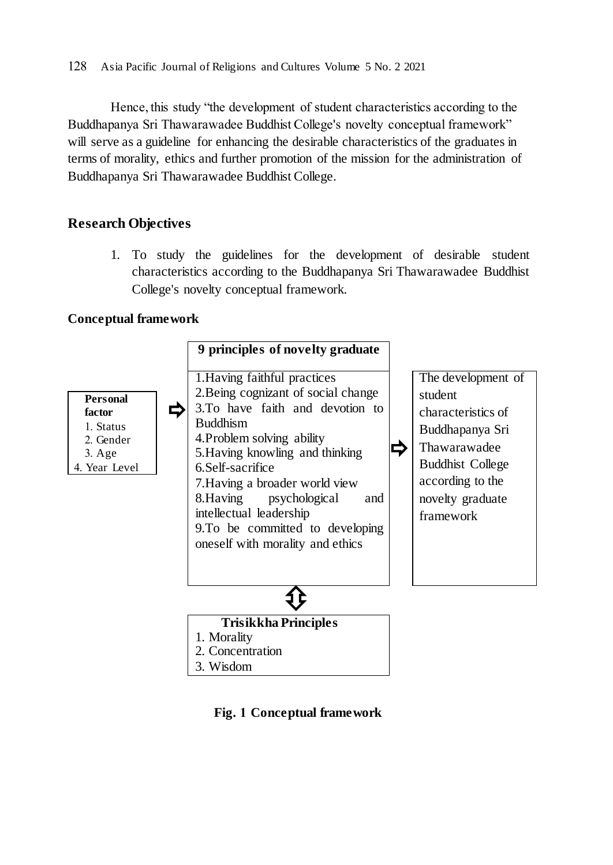Hence, this study "the development of student characteristics according to the Buddhapanya Sri Thawarawadee Buddhist College's novelty conceptual framework" will serve as a guideline for enhancing the desirable characteristics of the graduates in terms of morality, ethics and further promotion of the mission for the administration of Buddhapanya Sri Thawarawadee Buddhist College.

# **Research Objectives**

1. To study the guidelines for the development of desirable student characteristics according to the Buddhapanya Sri Thawarawadee Buddhist College's novelty conceptual framework.

# **Conceptual framework**



**Fig. 1 Conceptual framework**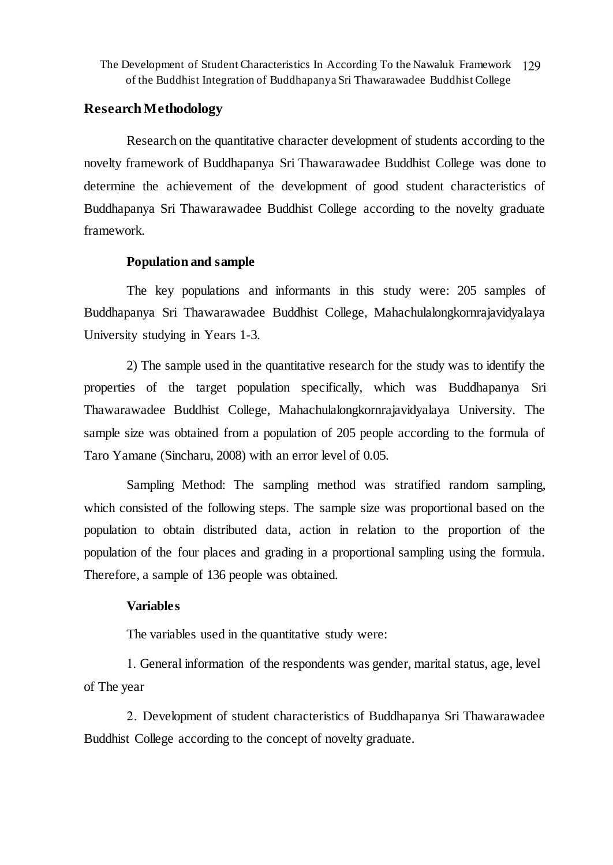The Development of Student Characteristics In According To the Nawaluk Framework 129 of the Buddhist Integration of Buddhapanya Sri Thawarawadee Buddhist College

## **Research Methodology**

Research on the quantitative character development of students according to the novelty framework of Buddhapanya Sri Thawarawadee Buddhist College was done to determine the achievement of the development of good student characteristics of Buddhapanya Sri Thawarawadee Buddhist College according to the novelty graduate framework.

#### **Population and sample**

The key populations and informants in this study were: 205 samples of Buddhapanya Sri Thawarawadee Buddhist College, Mahachulalongkornrajavidyalaya University studying in Years 1-3.

2) The sample used in the quantitative research for the study was to identify the properties of the target population specifically, which was Buddhapanya Sri Thawarawadee Buddhist College, Mahachulalongkornrajavidyalaya University. The sample size was obtained from a population of 205 people according to the formula of Taro Yamane (Sincharu, 2008) with an error level of 0.05.

Sampling Method: The sampling method was stratified random sampling, which consisted of the following steps. The sample size was proportional based on the population to obtain distributed data, action in relation to the proportion of the population of the four places and grading in a proportional sampling using the formula. Therefore, a sample of 136 people was obtained.

#### **Variables**

The variables used in the quantitative study were:

1. General information of the respondents was gender, marital status, age, level of The year

2. Development of student characteristics of Buddhapanya Sri Thawarawadee Buddhist College according to the concept of novelty graduate.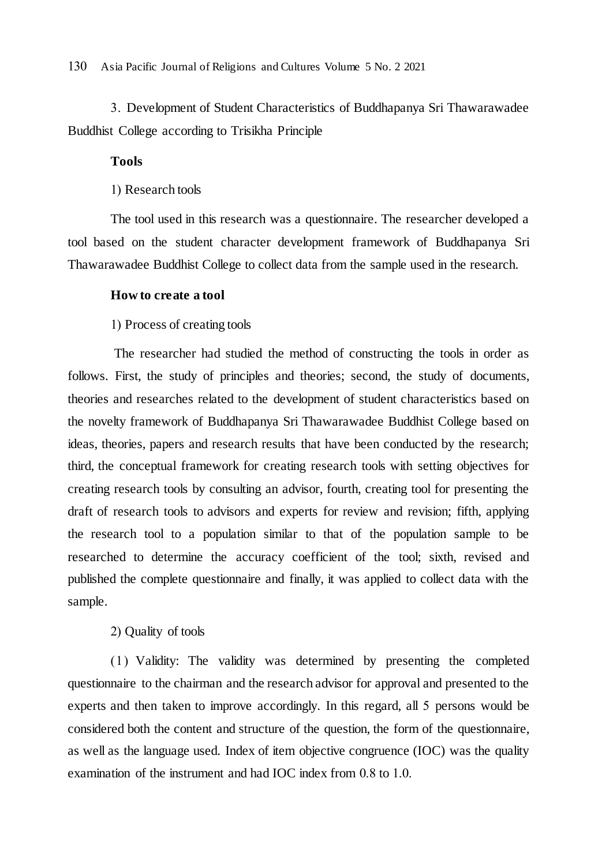3. Development of Student Characteristics of Buddhapanya Sri Thawarawadee Buddhist College according to Trisikha Principle

#### **Tools**

1) Research tools

The tool used in this research was a questionnaire. The researcher developed a tool based on the student character development framework of Buddhapanya Sri Thawarawadee Buddhist College to collect data from the sample used in the research.

#### **How to create a tool**

1) Process of creating tools

The researcher had studied the method of constructing the tools in order as follows. First, the study of principles and theories; second, the study of documents, theories and researches related to the development of student characteristics based on the novelty framework of Buddhapanya Sri Thawarawadee Buddhist College based on ideas, theories, papers and research results that have been conducted by the research; third, the conceptual framework for creating research tools with setting objectives for creating research tools by consulting an advisor, fourth, creating tool for presenting the draft of research tools to advisors and experts for review and revision; fifth, applying the research tool to a population similar to that of the population sample to be researched to determine the accuracy coefficient of the tool; sixth, revised and published the complete questionnaire and finally, it was applied to collect data with the sample.

# 2) Quality of tools

(1) Validity: The validity was determined by presenting the completed questionnaire to the chairman and the research advisor for approval and presented to the experts and then taken to improve accordingly. In this regard, all 5 persons would be considered both the content and structure of the question, the form of the questionnaire, as well as the language used. Index of item objective congruence (IOC) was the quality examination of the instrument and had IOC index from 0.8 to 1.0.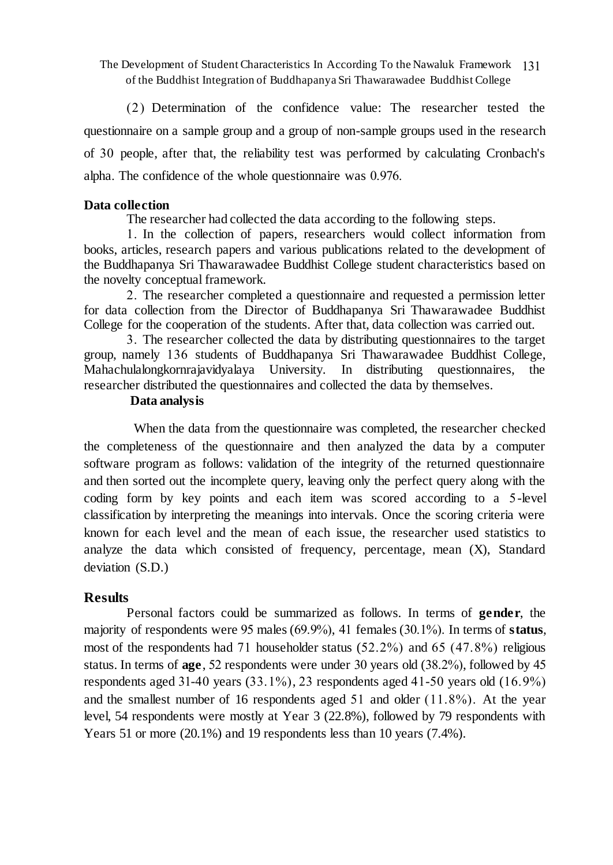The Development of Student Characteristics In According To the Nawaluk Framework 131 of the Buddhist Integration of Buddhapanya Sri Thawarawadee Buddhist College

(2) Determination of the confidence value: The researcher tested the questionnaire on a sample group and a group of non-sample groups used in the research of 30 people, after that, the reliability test was performed by calculating Cronbach's alpha. The confidence of the whole questionnaire was 0.976.

### **Data collection**

The researcher had collected the data according to the following steps.

1. In the collection of papers, researchers would collect information from books, articles, research papers and various publications related to the development of the Buddhapanya Sri Thawarawadee Buddhist College student characteristics based on the novelty conceptual framework.

2. The researcher completed a questionnaire and requested a permission letter for data collection from the Director of Buddhapanya Sri Thawarawadee Buddhist College for the cooperation of the students. After that, data collection was carried out.

3. The researcher collected the data by distributing questionnaires to the target group, namely 136 students of Buddhapanya Sri Thawarawadee Buddhist College, Mahachulalongkornrajavidyalaya University. In distributing questionnaires, the researcher distributed the questionnaires and collected the data by themselves.

# **Data analysis**

 When the data from the questionnaire was completed, the researcher checked the completeness of the questionnaire and then analyzed the data by a computer software program as follows: validation of the integrity of the returned questionnaire and then sorted out the incomplete query, leaving only the perfect query along with the coding form by key points and each item was scored according to a 5-level classification by interpreting the meanings into intervals. Once the scoring criteria were known for each level and the mean of each issue, the researcher used statistics to analyze the data which consisted of frequency, percentage, mean (X), Standard deviation (S.D.)

# **Results**

Personal factors could be summarized as follows. In terms of **gender**, the majority of respondents were 95 males (69.9%), 41 females (30.1%). In terms of **status**, most of the respondents had 71 householder status  $(52.2\%)$  and  $(65.47.8\%)$  religious status. In terms of **age**, 52 respondents were under 30 years old (38.2%), followed by 45 respondents aged  $31-40$  years  $(33.1\%)$ , 23 respondents aged  $41-50$  years old  $(16.9\%)$ and the smallest number of 16 respondents aged 51 and older (11.8%). At the year level, 54 respondents were mostly at Year 3 (22.8%), followed by 79 respondents with Years 51 or more (20.1%) and 19 respondents less than 10 years (7.4%).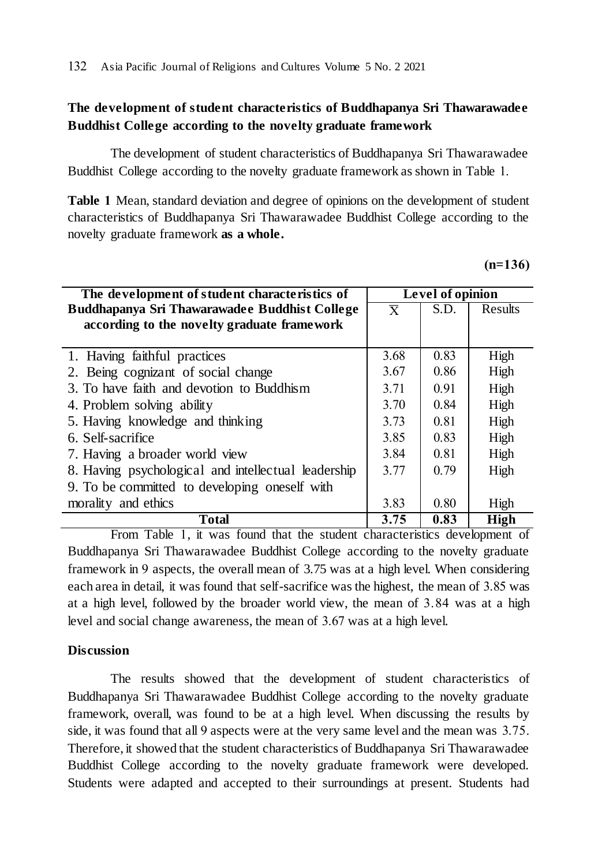# **The development of student characteristics of Buddhapanya Sri Thawarawadee Buddhist College according to the novelty graduate framework**

The development of student characteristics of Buddhapanya Sri Thawarawadee Buddhist College according to the novelty graduate framework as shown in Table 1.

**Table 1** Mean, standard deviation and degree of opinions on the development of student characteristics of Buddhapanya Sri Thawarawadee Buddhist College according to the novelty graduate framework **as a whole.**

|  | ı. |  |
|--|----|--|
|  |    |  |

| The development of student characteristics of       |                         | Level of opinion |             |  |  |
|-----------------------------------------------------|-------------------------|------------------|-------------|--|--|
| Buddhapanya Sri Thawarawadee Buddhist College       | $\overline{\mathbf{x}}$ | S.D.             | Results     |  |  |
| according to the novelty graduate framework         |                         |                  |             |  |  |
|                                                     |                         |                  |             |  |  |
| 1. Having faithful practices                        | 3.68                    | 0.83             | High        |  |  |
| 2. Being cognizant of social change                 | 3.67                    | 0.86             | High        |  |  |
| 3. To have faith and devotion to Buddhism           | 3.71                    | 0.91             | High        |  |  |
| 4. Problem solving ability                          | 3.70                    | 0.84             | High        |  |  |
| 5. Having knowledge and thinking                    | 3.73                    | 0.81             | High        |  |  |
| 6. Self-sacrifice                                   | 3.85                    | 0.83             | High        |  |  |
| 7. Having a broader world view                      | 3.84                    | 0.81             | High        |  |  |
| 8. Having psychological and intellectual leadership | 3.77                    | 0.79             | High        |  |  |
| 9. To be committed to developing oneself with       |                         |                  |             |  |  |
| morality and ethics                                 | 3.83                    | 0.80             | High        |  |  |
| <b>Total</b>                                        | 3.75                    | 0.83             | <b>High</b> |  |  |

From Table 1, it was found that the student characteristics development of Buddhapanya Sri Thawarawadee Buddhist College according to the novelty graduate framework in 9 aspects, the overall mean of 3.75 was at a high level. When considering each area in detail, it was found that self-sacrifice was the highest, the mean of 3.85 was at a high level, followed by the broader world view, the mean of 3.84 was at a high level and social change awareness, the mean of 3.67 was at a high level.

# **Discussion**

The results showed that the development of student characteristics of Buddhapanya Sri Thawarawadee Buddhist College according to the novelty graduate framework, overall, was found to be at a high level. When discussing the results by side, it was found that all 9 aspects were at the very same level and the mean was 3.75. Therefore, it showed that the student characteristics of Buddhapanya Sri Thawarawadee Buddhist College according to the novelty graduate framework were developed. Students were adapted and accepted to their surroundings at present. Students had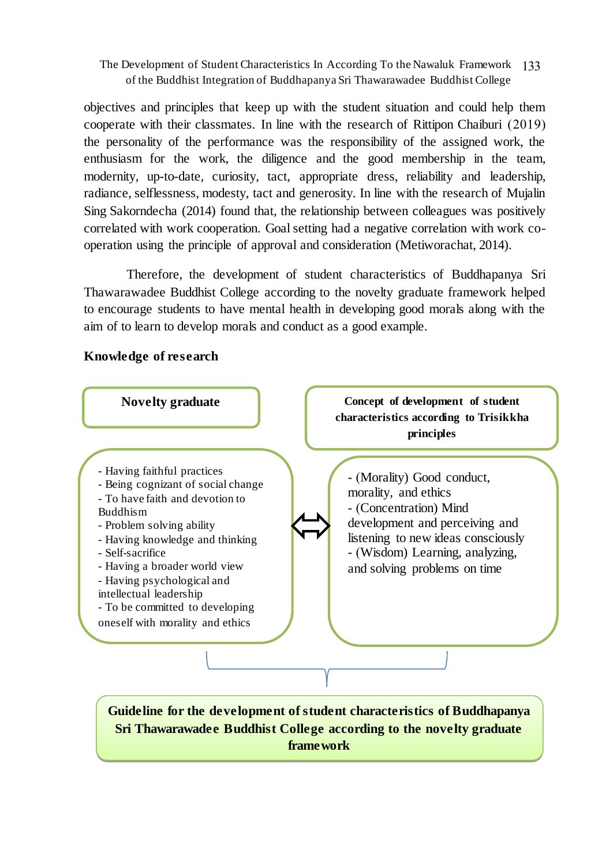#### The Development of Student Characteristics In According To the Nawaluk Framework 133 of the Buddhist Integration of Buddhapanya Sri Thawarawadee Buddhist College

objectives and principles that keep up with the student situation and could help them cooperate with their classmates. In line with the research of Rittipon Chaiburi (2019) the personality of the performance was the responsibility of the assigned work, the enthusiasm for the work, the diligence and the good membership in the team, modernity, up-to-date, curiosity, tact, appropriate dress, reliability and leadership, radiance, selflessness, modesty, tact and generosity. In line with the research of Mujalin Sing Sakorndecha (2014) found that, the relationship between colleagues was positively correlated with work cooperation. Goal setting had a negative correlation with work cooperation using the principle of approval and consideration (Metiworachat, 2014).

Therefore, the development of student characteristics of Buddhapanya Sri Thawarawadee Buddhist College according to the novelty graduate framework helped to encourage students to have mental health in developing good morals along with the aim of to learn to develop morals and conduct as a good example.

# **Knowledge of research**

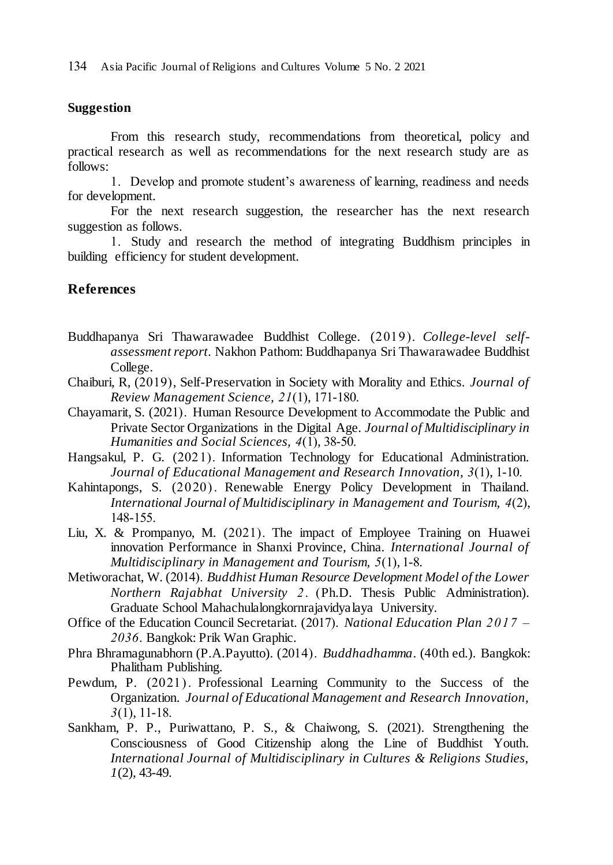#### **Suggestion**

From this research study, recommendations from theoretical, policy and practical research as well as recommendations for the next research study are as follows:

1. Develop and promote student's awareness of learning, readiness and needs for development.

For the next research suggestion, the researcher has the next research suggestion as follows.

1. Study and research the method of integrating Buddhism principles in building efficiency for student development.

# **References**

- Buddhapanya Sri Thawarawadee Buddhist College. (2019). *College-level selfassessment report*. Nakhon Pathom: Buddhapanya Sri Thawarawadee Buddhist College.
- Chaiburi, R, (2019), Self-Preservation in Society with Morality and Ethics. *Journal of Review Management Science, 21*(1), 171-180.
- Chayamarit, S. (2021). Human Resource Development to Accommodate the Public and Private Sector Organizations in the Digital Age. *Journal of Multidisciplinary in Humanities and Social Sciences, 4*(1), 38-50.
- Hangsakul, P. G. (2021). Information Technology for Educational Administration. *Journal of Educational Management and Research Innovation, 3*(1), 1-10.
- Kahintapongs, S. (2020) . Renewable Energy Policy Development in Thailand. *International Journal of Multidisciplinary in Management and Tourism, 4*(2), 148-155.
- Liu, X. & Prompanyo, M. (2021). The impact of Employee Training on Huawei innovation Performance in Shanxi Province, China. *International Journal of Multidisciplinary in Management and Tourism, 5*(1), 1-8.
- Metiworachat, W. (2014). *Buddhist Human Resource Development Model of the Lower Northern Rajabhat University 2*. (Ph.D. Thesis Public Administration). Graduate School Mahachulalongkornrajavidyalaya University.
- Office of the Education Council Secretariat. (2017). *National Education Plan 2017 – 2036*. Bangkok: Prik Wan Graphic.
- Phra Bhramagunabhorn (P.A.Payutto). (2014). *Buddhadhamma*. (40th ed.). Bangkok: Phalitham Publishing.
- Pewdum, P. (2021) . Professional Learning Community to the Success of the Organization. *Journal of Educational Management and Research Innovation, 3*(1), 11-18.
- Sankham, P. P., Puriwattano, P. S., & Chaiwong, S. (2021). Strengthening the Consciousness of Good Citizenship along the Line of Buddhist Youth. *International Journal of Multidisciplinary in Cultures & Religions Studies, 1*(2), 43-49.